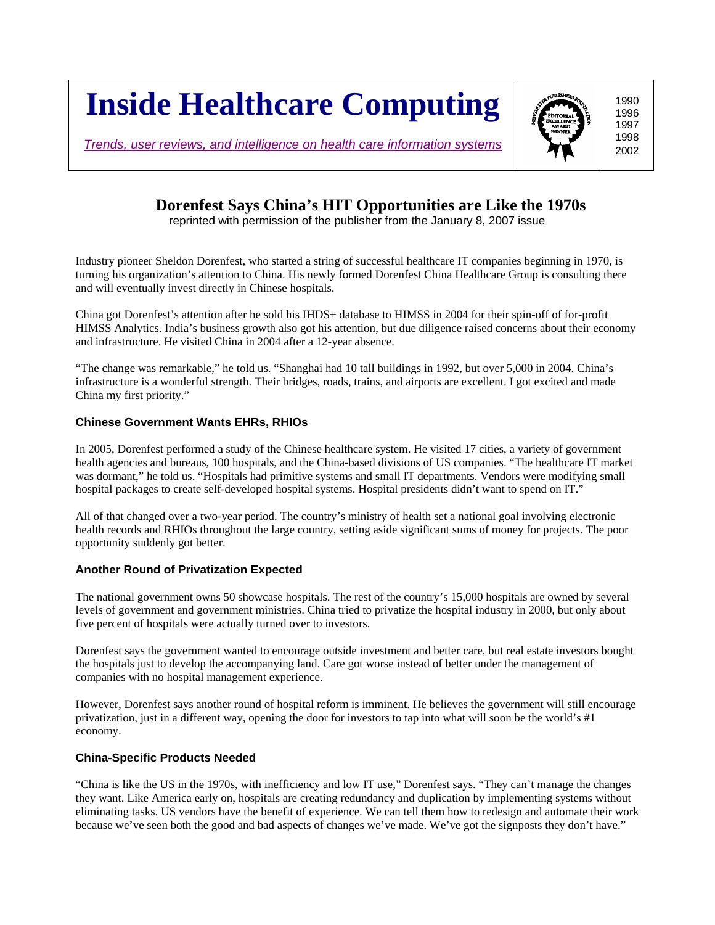# **Inside Healthcare Computing**

*Trends, user reviews, and intelligence on health care information systems*

## **Dorenfest Says China's HIT Opportunities are Like the 1970s**

reprinted with permission of the publisher from the January 8, 2007 issue

Industry pioneer Sheldon Dorenfest, who started a string of successful healthcare IT companies beginning in 1970, is turning his organization's attention to China. His newly formed Dorenfest China Healthcare Group is consulting there and will eventually invest directly in Chinese hospitals.

China got Dorenfest's attention after he sold his IHDS+ database to HIMSS in 2004 for their spin-off of for-profit HIMSS Analytics. India's business growth also got his attention, but due diligence raised concerns about their economy and infrastructure. He visited China in 2004 after a 12-year absence.

"The change was remarkable," he told us. "Shanghai had 10 tall buildings in 1992, but over 5,000 in 2004. China's infrastructure is a wonderful strength. Their bridges, roads, trains, and airports are excellent. I got excited and made China my first priority."

#### **Chinese Government Wants EHRs, RHIOs**

In 2005, Dorenfest performed a study of the Chinese healthcare system. He visited 17 cities, a variety of government health agencies and bureaus, 100 hospitals, and the China-based divisions of US companies. "The healthcare IT market was dormant," he told us. "Hospitals had primitive systems and small IT departments. Vendors were modifying small hospital packages to create self-developed hospital systems. Hospital presidents didn't want to spend on IT."

All of that changed over a two-year period. The country's ministry of health set a national goal involving electronic health records and RHIOs throughout the large country, setting aside significant sums of money for projects. The poor opportunity suddenly got better.

#### **Another Round of Privatization Expected**

The national government owns 50 showcase hospitals. The rest of the country's 15,000 hospitals are owned by several levels of government and government ministries. China tried to privatize the hospital industry in 2000, but only about five percent of hospitals were actually turned over to investors.

Dorenfest says the government wanted to encourage outside investment and better care, but real estate investors bought the hospitals just to develop the accompanying land. Care got worse instead of better under the management of companies with no hospital management experience.

However, Dorenfest says another round of hospital reform is imminent. He believes the government will still encourage privatization, just in a different way, opening the door for investors to tap into what will soon be the world's #1 economy.

#### **China-Specific Products Needed**

"China is like the US in the 1970s, with inefficiency and low IT use," Dorenfest says. "They can't manage the changes they want. Like America early on, hospitals are creating redundancy and duplication by implementing systems without eliminating tasks. US vendors have the benefit of experience. We can tell them how to redesign and automate their work because we've seen both the good and bad aspects of changes we've made. We've got the signposts they don't have."